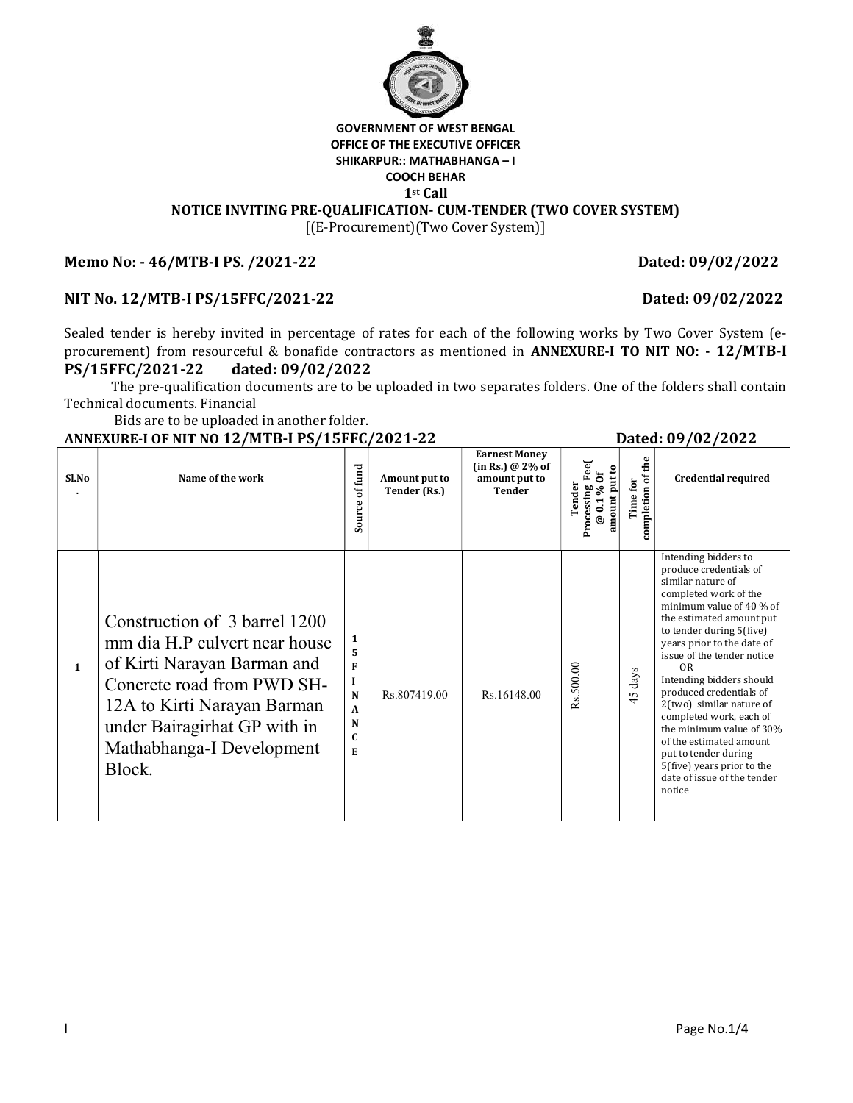

# GOVERNMENT OF WEST BENGAL OFFICE OF THE EXECUTIVE OFFICER SHIKARPUR:: MATHABHANGA – I COOCH BEHAR 1st Call

NOTICE INVITING PRE-QUALIFICATION- CUM-TENDER (TWO COVER SYSTEM)

[(E-Procurement)(Two Cover System)]

### Memo No: - 46/MTB-I PS. /2021-22 Dated: 09/02/2022

### NIT No. 12/MTB-I PS/15FFC/2021-22 Dated: 09/02/2022

Sealed tender is hereby invited in percentage of rates for each of the following works by Two Cover System (eprocurement) from resourceful & bonafide contractors as mentioned in ANNEXURE-I TO NIT NO: - 12/MTB-I PS/15FFC/2021-22 dated: 09/02/2022

The pre-qualification documents are to be uploaded in two separates folders. One of the folders shall contain Technical documents. Financial

Bids are to be uploaded in another folder.

#### ANNEXURE-I OF NIT NO 12/MTB-I PS/15FFC/2021-22 Dated: 09/02/2022

| Sl.No        | Name of the work                                                                                                                                                                                                                  | offund<br>Source                                                      | Amount put to<br>Tender (Rs.) | <b>Earnest Money</b><br>(in Rs.) @ 2% of<br>amount put to<br>Tender | Fee<br>amount put to<br>@ 0.1 % Of<br>Tender<br>Processing | Time for<br>completion of the | <b>Credential required</b>                                                                                                                                                                                                                                                                                                                                                                                                                                                                                                         |
|--------------|-----------------------------------------------------------------------------------------------------------------------------------------------------------------------------------------------------------------------------------|-----------------------------------------------------------------------|-------------------------------|---------------------------------------------------------------------|------------------------------------------------------------|-------------------------------|------------------------------------------------------------------------------------------------------------------------------------------------------------------------------------------------------------------------------------------------------------------------------------------------------------------------------------------------------------------------------------------------------------------------------------------------------------------------------------------------------------------------------------|
| $\mathbf{1}$ | Construction of 3 barrel 1200<br>mm dia H.P culvert near house<br>of Kirti Narayan Barman and<br>Concrete road from PWD SH-<br>12A to Kirti Narayan Barman<br>under Bairagirhat GP with in<br>Mathabhanga-I Development<br>Block. | $\mathbf{1}$<br>F<br>I<br>N<br>$\mathbf{A}$<br>N<br>$\mathbf{C}$<br>E | Rs.807419.00                  | Rs.16148.00                                                         | Rs.500.00                                                  | days<br>45                    | Intending bidders to<br>produce credentials of<br>similar nature of<br>completed work of the<br>minimum value of 40 % of<br>the estimated amount put<br>to tender during 5(five)<br>years prior to the date of<br>issue of the tender notice<br>0 <sub>R</sub><br>Intending bidders should<br>produced credentials of<br>2(two) similar nature of<br>completed work, each of<br>the minimum value of 30%<br>of the estimated amount<br>put to tender during<br>5(five) years prior to the<br>date of issue of the tender<br>notice |

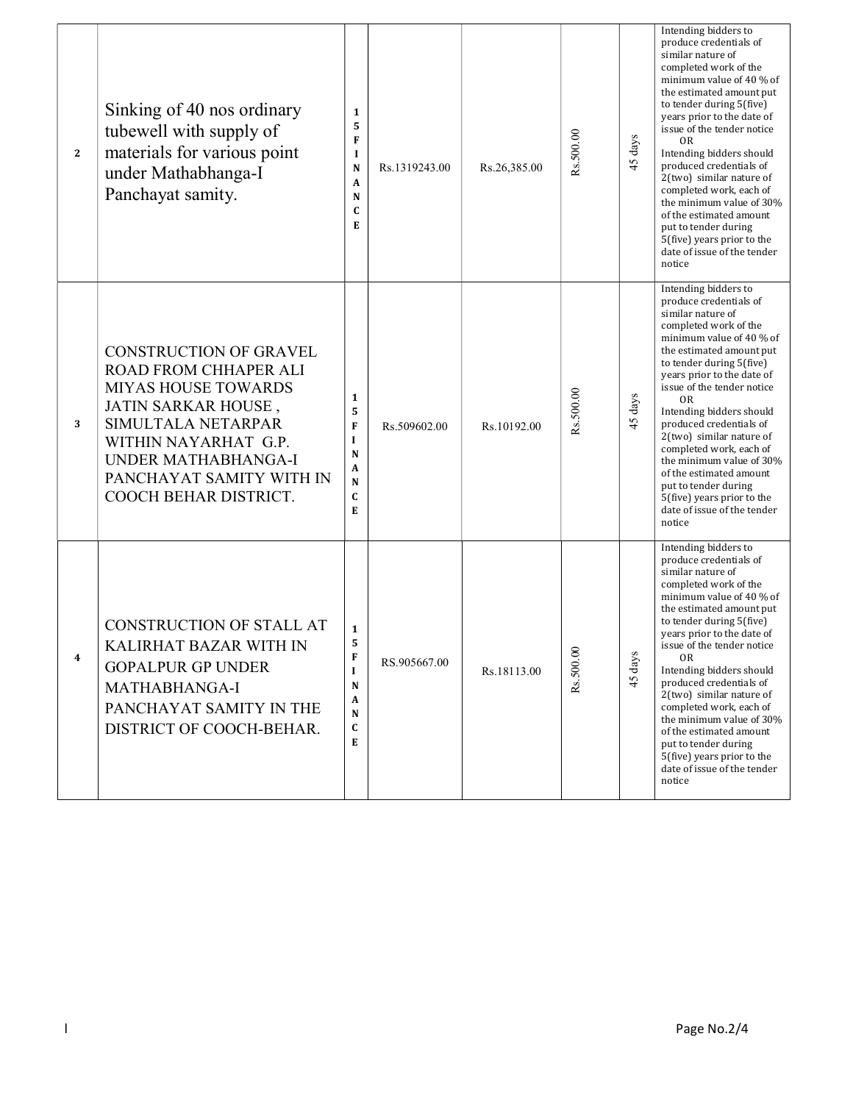| $\overline{2}$ | Sinking of 40 nos ordinary<br>tubewell with supply of<br>materials for various point<br>under Mathabhanga-I<br>Panchayat samity.                                                                                                      | 1<br>5<br>F<br>I<br>N<br>A<br>N<br>C<br>E             | Rs.1319243.00 | Rs.26,385.00 | Rs.500.00 | days<br>45   | Intending bidders to<br>produce credentials of<br>similar nature of<br>completed work of the<br>minimum value of 40 % of<br>the estimated amount put<br>to tender during 5(five)<br>years prior to the date of<br>issue of the tender notice<br>0R<br>Intending bidders should<br>produced credentials of<br>2(two) similar nature of<br>completed work, each of<br>the minimum value of 30%<br>of the estimated amount<br>put to tender during<br>5(five) years prior to the<br>date of issue of the tender<br>notice  |
|----------------|---------------------------------------------------------------------------------------------------------------------------------------------------------------------------------------------------------------------------------------|-------------------------------------------------------|---------------|--------------|-----------|--------------|-------------------------------------------------------------------------------------------------------------------------------------------------------------------------------------------------------------------------------------------------------------------------------------------------------------------------------------------------------------------------------------------------------------------------------------------------------------------------------------------------------------------------|
| 3              | <b>CONSTRUCTION OF GRAVEL</b><br>ROAD FROM CHHAPER ALI<br><b>MIYAS HOUSE TOWARDS</b><br>JATIN SARKAR HOUSE,<br>SIMULTALA NETARPAR<br>WITHIN NAYARHAT G.P.<br>UNDER MATHABHANGA-I<br>PANCHAYAT SAMITY WITH IN<br>COOCH BEHAR DISTRICT. | 1<br>5<br>F<br>$\mathbf I$<br>N<br>A<br>N<br>C<br>Е   | Rs.509602.00  | Rs.10192.00  | Rs.500.00 | days<br>45   | Intending bidders to<br>produce credentials of<br>similar nature of<br>completed work of the<br>minimum value of 40 % of<br>the estimated amount put<br>to tender during 5(five)<br>years prior to the date of<br>issue of the tender notice<br>0R<br>Intending bidders should<br>produced credentials of<br>2(two) similar nature of<br>completed work, each of<br>the minimum value of 30%<br>of the estimated amount<br>put to tender during<br>5(five) years prior to the<br>date of issue of the tender<br>notice  |
| 4              | <b>CONSTRUCTION OF STALL AT</b><br>KALIRHAT BAZAR WITH IN<br><b>GOPALPUR GP UNDER</b><br>MATHABHANGA-I<br>PANCHAYAT SAMITY IN THE<br>DISTRICT OF COOCH-BEHAR.                                                                         | $\mathbf{1}$<br>5<br>F<br>1<br>N<br>A<br>N<br>C.<br>E | RS.905667.00  | Rs.18113.00  | Rs.500.00 | days<br>$5+$ | Intending bidders to<br>produce credentials of<br>similar nature of<br>completed work of the<br>minimum value of 40 % of<br>the estimated amount put<br>to tender during 5(five)<br>years prior to the date of<br>issue of the tender notice<br>0R.<br>Intending bidders should<br>produced credentials of<br>2(two) similar nature of<br>completed work, each of<br>the minimum value of 30%<br>of the estimated amount<br>put to tender during<br>5(five) years prior to the<br>date of issue of the tender<br>notice |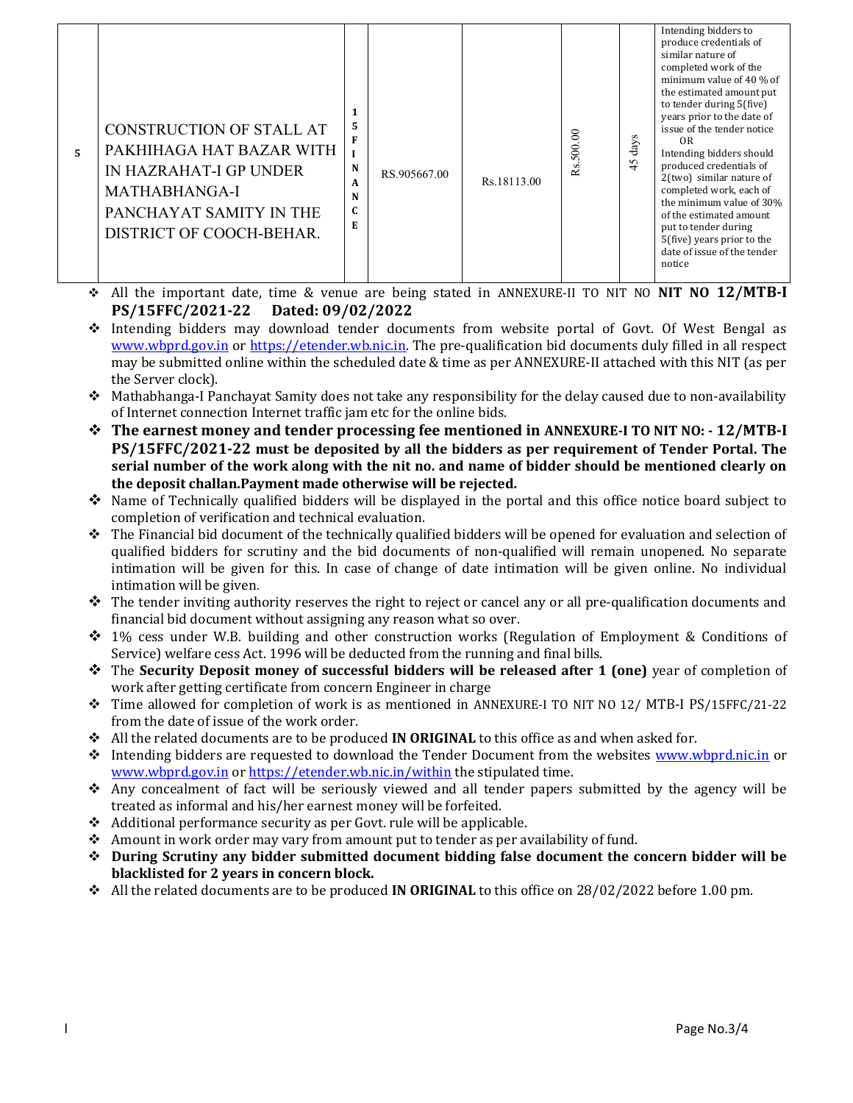| 5. | CONSTRUCTION OF STALL AT<br>PAKHIHAGA HAT BAZAR WITH<br>IN HAZRAHAT-I GP UNDER<br>MATHABHANGA-I<br>PANCHAYAT SAMITY IN THE<br>DISTRICT OF COOCH-BEHAR. | 5<br>F<br>N<br>A<br>N<br>C<br>E | RS.905667.00 | Rs.18113.00 | 500.00<br>S<br>≃ | S<br>⋋<br>-a<br>45 | Intending bidders to<br>produce credentials of<br>similar nature of<br>completed work of the<br>minimum value of 40 % of<br>the estimated amount put<br>to tender during 5(five)<br>years prior to the date of<br>issue of the tender notice<br>OR<br>Intending bidders should<br>produced credentials of<br>2(two) similar nature of<br>completed work, each of<br>the minimum value of 30%<br>of the estimated amount<br>put to tender during<br>5(five) years prior to the<br>date of issue of the tender<br>notice |
|----|--------------------------------------------------------------------------------------------------------------------------------------------------------|---------------------------------|--------------|-------------|------------------|--------------------|------------------------------------------------------------------------------------------------------------------------------------------------------------------------------------------------------------------------------------------------------------------------------------------------------------------------------------------------------------------------------------------------------------------------------------------------------------------------------------------------------------------------|
|----|--------------------------------------------------------------------------------------------------------------------------------------------------------|---------------------------------|--------------|-------------|------------------|--------------------|------------------------------------------------------------------------------------------------------------------------------------------------------------------------------------------------------------------------------------------------------------------------------------------------------------------------------------------------------------------------------------------------------------------------------------------------------------------------------------------------------------------------|

- \* All the important date, time & venue are being stated in ANNEXURE-II TO NIT NO **NIT NO 12/MTB-I** PS/15FFC/2021-22 Dated: 09/02/2022
- $\div$  Intending bidders may download tender documents from website portal of Govt. Of West Bengal as www.wbprd.gov.in or https://etender.wb.nic.in. The pre-qualification bid documents duly filled in all respect may be submitted online within the scheduled date & time as per ANNEXURE-II attached with this NIT (as per the Server clock).
- Mathabhanga-I Panchayat Samity does not take any responsibility for the delay caused due to non-availability of Internet connection Internet traffic jam etc for the online bids.
- The earnest money and tender processing fee mentioned in ANNEXURE-I TO NIT NO: 12/MTB-I PS/15FFC/2021-22 must be deposited by all the bidders as per requirement of Tender Portal. The serial number of the work along with the nit no. and name of bidder should be mentioned clearly on the deposit challan.Payment made otherwise will be rejected.
- $\bullet$  Name of Technically qualified bidders will be displayed in the portal and this office notice board subject to completion of verification and technical evaluation.
- $\hat{\cdot}$  The Financial bid document of the technically qualified bidders will be opened for evaluation and selection of qualified bidders for scrutiny and the bid documents of non-qualified will remain unopened. No separate intimation will be given for this. In case of change of date intimation will be given online. No individual intimation will be given.
- $\hat{\mathbf{v}}$  The tender inviting authority reserves the right to reject or cancel any or all pre-qualification documents and financial bid document without assigning any reason what so over.
- $\div$  1% cess under W.B. building and other construction works (Regulation of Employment & Conditions of Service) welfare cess Act. 1996 will be deducted from the running and final bills.
- $\hat{\mathbf{v}}$  The Security Deposit money of successful bidders will be released after 1 (one) year of completion of work after getting certificate from concern Engineer in charge
- Time allowed for completion of work is as mentioned in ANNEXURE-I TO NIT NO 12/ MTB-I PS/15FFC/21-22 from the date of issue of the work order.
- $\triangle$  All the related documents are to be produced **IN ORIGINAL** to this office as and when asked for.
- \* Intending bidders are requested to download the Tender Document from the websites www.wbprd.nic.in or www.wbprd.gov.in or https://etender.wb.nic.in/within the stipulated time.
- Any concealment of fact will be seriously viewed and all tender papers submitted by the agency will be treated as informal and his/her earnest money will be forfeited.
- Additional performance security as per Govt. rule will be applicable.
- Amount in work order may vary from amount put to tender as per availability of fund.
- During Scrutiny any bidder submitted document bidding false document the concern bidder will be blacklisted for 2 years in concern block.
- $\cdot$  All the related documents are to be produced **IN ORIGINAL** to this office on 28/02/2022 before 1.00 pm.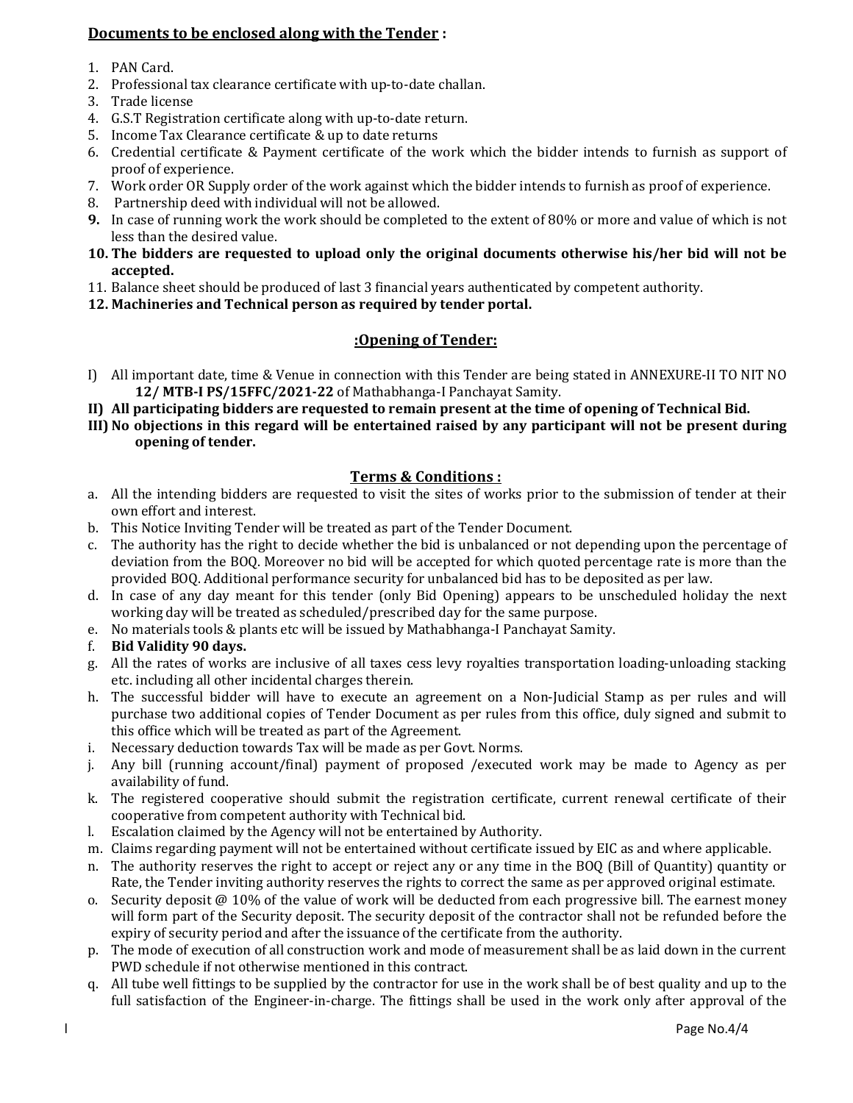# Documents to be enclosed along with the Tender :

- 1. PAN Card.
- 2. Professional tax clearance certificate with up-to-date challan.
- 3. Trade license
- 4. G.S.T Registration certificate along with up-to-date return.
- 5. Income Tax Clearance certificate & up to date returns
- 6. Credential certificate & Payment certificate of the work which the bidder intends to furnish as support of proof of experience.
- 7. Work order OR Supply order of the work against which the bidder intends to furnish as proof of experience.
- 8. Partnership deed with individual will not be allowed.
- 9. In case of running work the work should be completed to the extent of 80% or more and value of which is not less than the desired value.
- 10. The bidders are requested to upload only the original documents otherwise his/her bid will not be accepted.
- 11. Balance sheet should be produced of last 3 financial years authenticated by competent authority.
- 12. Machineries and Technical person as required by tender portal.

# :Opening of Tender:

- I) All important date, time & Venue in connection with this Tender are being stated in ANNEXURE-II TO NIT NO 12/ MTB-I PS/15FFC/2021-22 of Mathabhanga-I Panchayat Samity.
- II) All participating bidders are requested to remain present at the time of opening of Technical Bid.
- III) No objections in this regard will be entertained raised by any participant will not be present during opening of tender.

### Terms & Conditions :

- a. All the intending bidders are requested to visit the sites of works prior to the submission of tender at their own effort and interest.
- b. This Notice Inviting Tender will be treated as part of the Tender Document.
- c. The authority has the right to decide whether the bid is unbalanced or not depending upon the percentage of deviation from the BOQ. Moreover no bid will be accepted for which quoted percentage rate is more than the provided BOQ. Additional performance security for unbalanced bid has to be deposited as per law.
- d. In case of any day meant for this tender (only Bid Opening) appears to be unscheduled holiday the next working day will be treated as scheduled/prescribed day for the same purpose.
- e. No materials tools & plants etc will be issued by Mathabhanga-I Panchayat Samity.
- f. Bid Validity 90 days.
- g. All the rates of works are inclusive of all taxes cess levy royalties transportation loading-unloading stacking etc. including all other incidental charges therein.
- h. The successful bidder will have to execute an agreement on a Non-Judicial Stamp as per rules and will purchase two additional copies of Tender Document as per rules from this office, duly signed and submit to this office which will be treated as part of the Agreement.
- i. Necessary deduction towards Tax will be made as per Govt. Norms.
- j. Any bill (running account/final) payment of proposed /executed work may be made to Agency as per availability of fund.
- k. The registered cooperative should submit the registration certificate, current renewal certificate of their cooperative from competent authority with Technical bid.
- l. Escalation claimed by the Agency will not be entertained by Authority.
- m. Claims regarding payment will not be entertained without certificate issued by EIC as and where applicable.
- n. The authority reserves the right to accept or reject any or any time in the BOQ (Bill of Quantity) quantity or Rate, the Tender inviting authority reserves the rights to correct the same as per approved original estimate.
- o. Security deposit  $\omega$  10% of the value of work will be deducted from each progressive bill. The earnest money will form part of the Security deposit. The security deposit of the contractor shall not be refunded before the expiry of security period and after the issuance of the certificate from the authority.
- p. The mode of execution of all construction work and mode of measurement shall be as laid down in the current PWD schedule if not otherwise mentioned in this contract.
- q. All tube well fittings to be supplied by the contractor for use in the work shall be of best quality and up to the full satisfaction of the Engineer-in-charge. The fittings shall be used in the work only after approval of the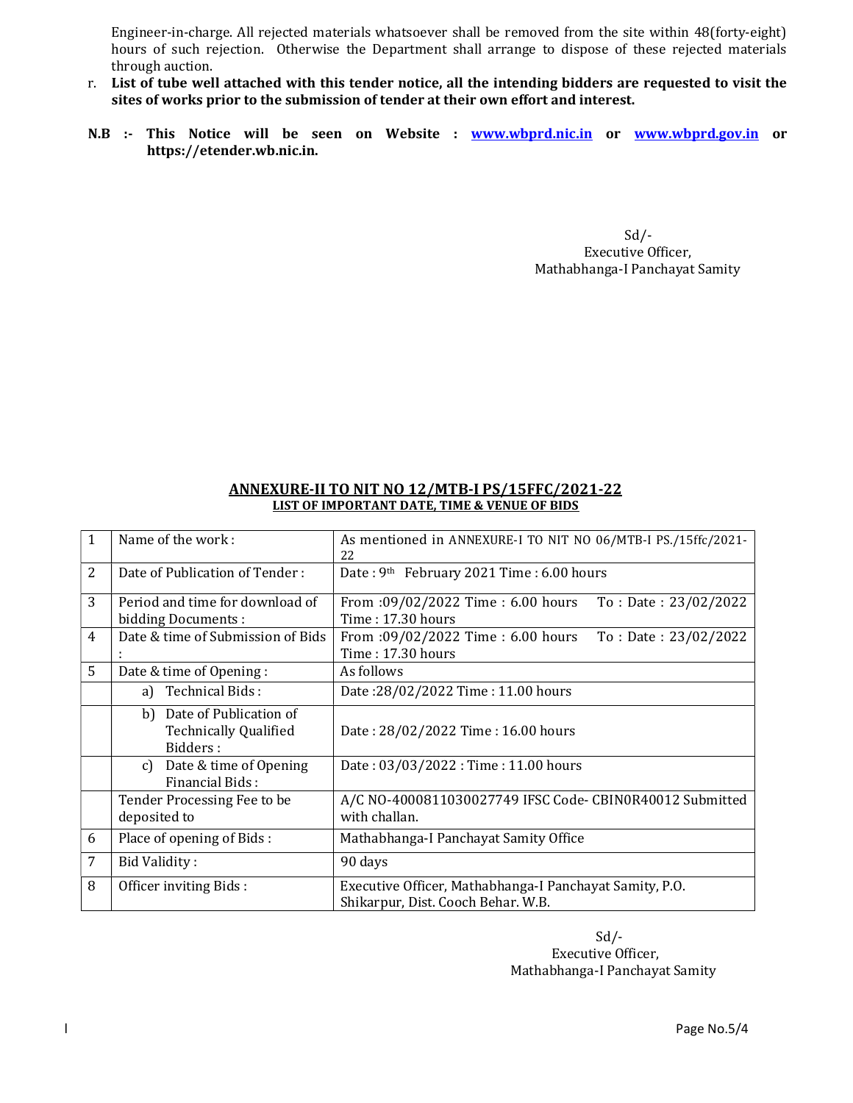Engineer-in-charge. All rejected materials whatsoever shall be removed from the site within 48(forty-eight) hours of such rejection. Otherwise the Department shall arrange to dispose of these rejected materials through auction.

- r. List of tube well attached with this tender notice, all the intending bidders are requested to visit the sites of works prior to the submission of tender at their own effort and interest.
- N.B :- This Notice will be seen on Website : www.wbprd.nic.in or www.wbprd.gov.in or https://etender.wb.nic.in.

 $Sd/$ -Executive Officer, Mathabhanga-I Panchayat Samity

#### ANNEXURE-II TO NIT NO 12/MTB-I PS/15FFC/2021-22 LIST OF IMPORTANT DATE, TIME & VENUE OF BIDS

| $\mathbf{1}$   | Name of the work:                                                     | As mentioned in ANNEXURE-I TO NIT NO 06/MTB-I PS./15ffc/2021-<br>22                           |
|----------------|-----------------------------------------------------------------------|-----------------------------------------------------------------------------------------------|
| 2              | Date of Publication of Tender:                                        | Date: 9th February 2021 Time: 6.00 hours                                                      |
| 3              | Period and time for download of<br>bidding Documents:                 | From :09/02/2022 Time : 6.00 hours<br>To: Date: 23/02/2022<br>Time: 17.30 hours               |
| $\overline{4}$ | Date & time of Submission of Bids                                     | From :09/02/2022 Time : 6.00 hours<br>To : Date : $23/02/2022$<br>Time: 17.30 hours           |
| 5              | Date & time of Opening:                                               | As follows                                                                                    |
|                | a) Technical Bids:                                                    | Date:28/02/2022 Time: 11.00 hours                                                             |
|                | b) Date of Publication of<br><b>Technically Qualified</b><br>Bidders: | Date: 28/02/2022 Time: 16.00 hours                                                            |
|                | Date & time of Opening<br>c)<br>Financial Bids:                       | Date: 03/03/2022: Time: 11.00 hours                                                           |
|                | Tender Processing Fee to be<br>deposited to                           | A/C NO-4000811030027749 IFSC Code- CBIN0R40012 Submitted<br>with challan.                     |
| 6              | Place of opening of Bids:                                             | Mathabhanga-I Panchayat Samity Office                                                         |
| $\overline{7}$ | Bid Validity:                                                         | 90 days                                                                                       |
| 8              | Officer inviting Bids:                                                | Executive Officer, Mathabhanga-I Panchayat Samity, P.O.<br>Shikarpur, Dist. Cooch Behar. W.B. |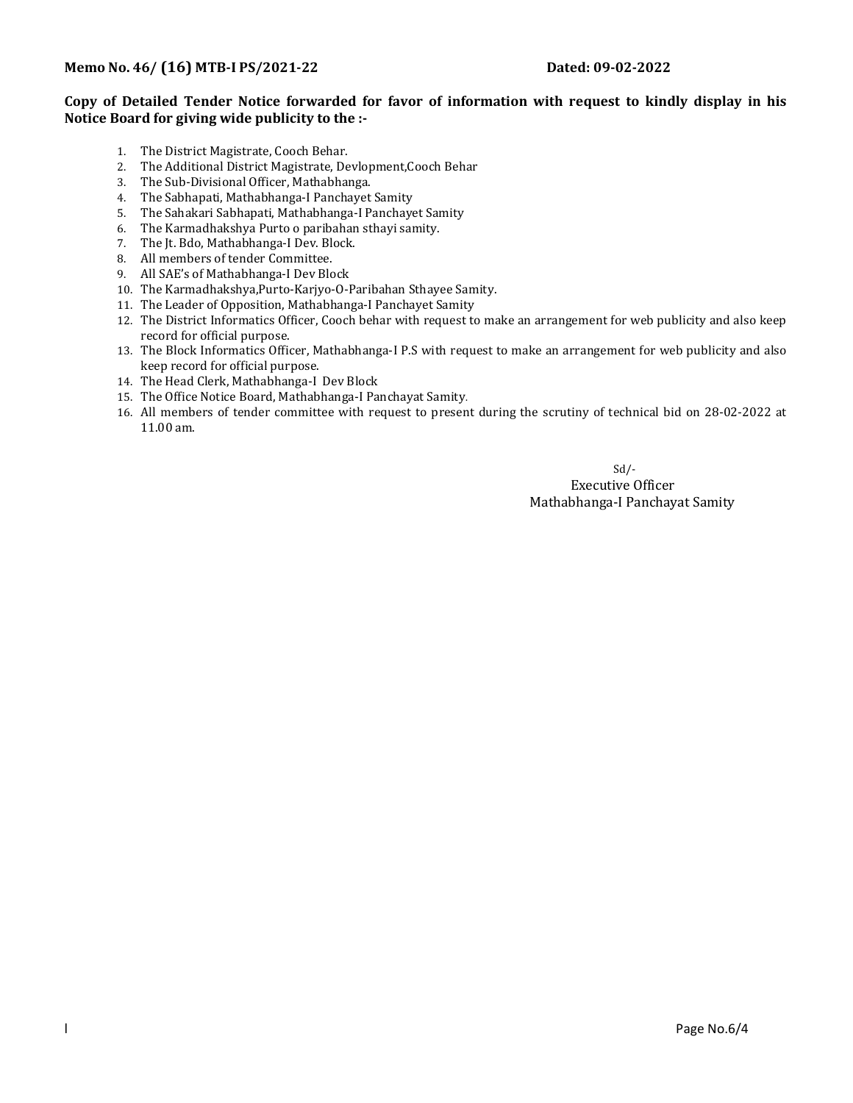#### Copy of Detailed Tender Notice forwarded for favor of information with request to kindly display in his Notice Board for giving wide publicity to the :-

- 1. The District Magistrate, Cooch Behar.
- 2. The Additional District Magistrate, Devlopment,Cooch Behar
- 3. The Sub-Divisional Officer, Mathabhanga.
- 4. The Sabhapati, Mathabhanga-I Panchayet Samity
- 5. The Sahakari Sabhapati, Mathabhanga-I Panchayet Samity
- 6. The Karmadhakshya Purto o paribahan sthayi samity.
- 7. The Jt. Bdo, Mathabhanga-I Dev. Block.
- 8. All members of tender Committee.
- 9. All SAE's of Mathabhanga-I Dev Block
- 10. The Karmadhakshya,Purto-Karjyo-O-Paribahan Sthayee Samity.
- 11. The Leader of Opposition, Mathabhanga-I Panchayet Samity
- 12. The District Informatics Officer, Cooch behar with request to make an arrangement for web publicity and also keep record for official purpose.
- 13. The Block Informatics Officer, Mathabhanga-I P.S with request to make an arrangement for web publicity and also keep record for official purpose.
- 14. The Head Clerk, Mathabhanga-I Dev Block
- 15. The Office Notice Board, Mathabhanga-I Panchayat Samity.
- 16. All members of tender committee with request to present during the scrutiny of technical bid on 28-02-2022 at 11.00 am.

Sd/-

 Executive Officer Mathabhanga-I Panchayat Samity